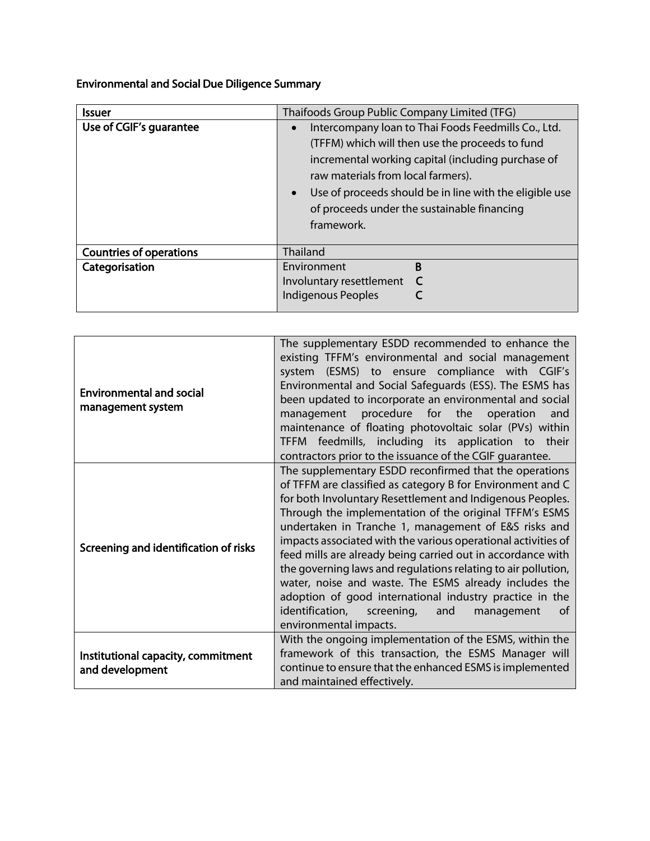Environmental and Social Due Diligence Summary

| <b>Issuer</b>                  | Thaifoods Group Public Company Limited (TFG)                                                                                                                                                                                                                                                                                            |
|--------------------------------|-----------------------------------------------------------------------------------------------------------------------------------------------------------------------------------------------------------------------------------------------------------------------------------------------------------------------------------------|
| Use of CGIF's quarantee        | Intercompany loan to Thai Foods Feedmills Co., Ltd.<br>(TFFM) which will then use the proceeds to fund<br>incremental working capital (including purchase of<br>raw materials from local farmers).<br>Use of proceeds should be in line with the eligible use<br>$\bullet$<br>of proceeds under the sustainable financing<br>framework. |
| <b>Countries of operations</b> | <b>Thailand</b>                                                                                                                                                                                                                                                                                                                         |
| Categorisation                 | <sub>B</sub><br>Environment<br>Involuntary resettlement<br><b>Indigenous Peoples</b>                                                                                                                                                                                                                                                    |

| <b>Environmental and social</b><br>management system  | The supplementary ESDD recommended to enhance the<br>existing TFFM's environmental and social management<br>system (ESMS) to ensure compliance with CGIF's<br>Environmental and Social Safeguards (ESS). The ESMS has<br>been updated to incorporate an environmental and social<br>management procedure for the operation<br>and<br>maintenance of floating photovoltaic solar (PVs) within<br>TFFM feedmills, including its application to their<br>contractors prior to the issuance of the CGIF quarantee.                                                                                                                                                                                                            |
|-------------------------------------------------------|---------------------------------------------------------------------------------------------------------------------------------------------------------------------------------------------------------------------------------------------------------------------------------------------------------------------------------------------------------------------------------------------------------------------------------------------------------------------------------------------------------------------------------------------------------------------------------------------------------------------------------------------------------------------------------------------------------------------------|
| Screening and identification of risks                 | The supplementary ESDD reconfirmed that the operations<br>of TFFM are classified as category B for Environment and C<br>for both Involuntary Resettlement and Indigenous Peoples.<br>Through the implementation of the original TFFM's ESMS<br>undertaken in Tranche 1, management of E&S risks and<br>impacts associated with the various operational activities of<br>feed mills are already being carried out in accordance with<br>the governing laws and regulations relating to air pollution,<br>water, noise and waste. The ESMS already includes the<br>adoption of good international industry practice in the<br>identification,<br>screening,<br>and<br>management<br><sub>of</sub><br>environmental impacts. |
| Institutional capacity, commitment<br>and development | With the ongoing implementation of the ESMS, within the<br>framework of this transaction, the ESMS Manager will<br>continue to ensure that the enhanced ESMS is implemented<br>and maintained effectively.                                                                                                                                                                                                                                                                                                                                                                                                                                                                                                                |